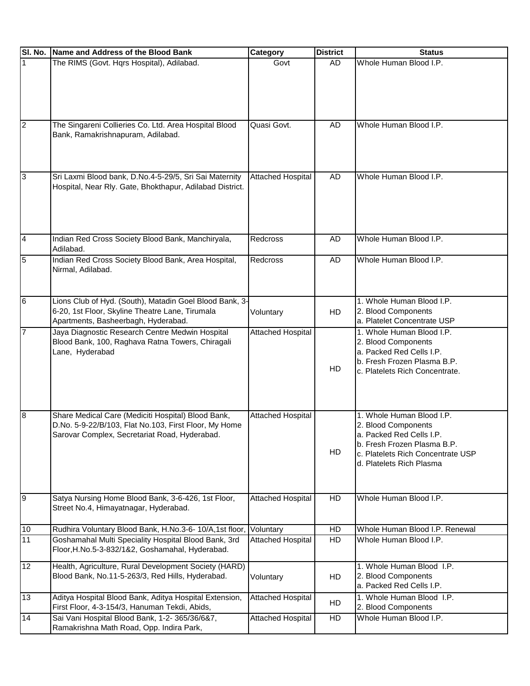| SI. No.        | Name and Address of the Blood Bank                                                                                                                           | Category                 | <b>District</b> | <b>Status</b>                                                                                                                                                                |
|----------------|--------------------------------------------------------------------------------------------------------------------------------------------------------------|--------------------------|-----------------|------------------------------------------------------------------------------------------------------------------------------------------------------------------------------|
| $\mathbf{1}$   | The RIMS (Govt. Hqrs Hospital), Adilabad.                                                                                                                    | Govt                     | <b>AD</b>       | Whole Human Blood I.P.                                                                                                                                                       |
| $\overline{2}$ | The Singareni Collieries Co. Ltd. Area Hospital Blood<br>Bank, Ramakrishnapuram, Adilabad.                                                                   | Quasi Govt.              | <b>AD</b>       | Whole Human Blood I.P.                                                                                                                                                       |
| 3              | Sri Laxmi Blood bank, D.No.4-5-29/5, Sri Sai Maternity<br>Hospital, Near Rly. Gate, Bhokthapur, Adilabad District.                                           | <b>Attached Hospital</b> | AD              | Whole Human Blood I.P.                                                                                                                                                       |
| $\overline{4}$ | Indian Red Cross Society Blood Bank, Manchiryala,<br>Adilabad.                                                                                               | Redcross                 | AD              | Whole Human Blood I.P.                                                                                                                                                       |
| $\overline{5}$ | Indian Red Cross Society Blood Bank, Area Hospital,<br>Nirmal, Adilabad.                                                                                     | Redcross                 | AD              | Whole Human Blood I.P.                                                                                                                                                       |
| 6              | Lions Club of Hyd. (South), Matadin Goel Blood Bank, 3-<br>6-20, 1st Floor, Skyline Theatre Lane, Tirumala<br>Apartments, Basheerbagh, Hyderabad.            | Voluntary                | HD              | 1. Whole Human Blood I.P.<br>2. Blood Components<br>a. Platelet Concentrate USP                                                                                              |
| $\overline{7}$ | Jaya Diagnostic Research Centre Medwin Hospital<br>Blood Bank, 100, Raghava Ratna Towers, Chiragali<br>Lane, Hyderabad                                       | <b>Attached Hospital</b> | HD              | 1. Whole Human Blood I.P.<br>2. Blood Components<br>a. Packed Red Cells I.P.<br>b. Fresh Frozen Plasma B.P.<br>c. Platelets Rich Concentrate.                                |
| $\overline{8}$ | Share Medical Care (Mediciti Hospital) Blood Bank,<br>D.No. 5-9-22/B/103, Flat No.103, First Floor, My Home<br>Sarovar Complex, Secretariat Road, Hyderabad. | <b>Attached Hospital</b> | HD              | 1. Whole Human Blood I.P.<br>2. Blood Components<br>a. Packed Red Cells I.P.<br>b. Fresh Frozen Plasma B.P.<br>c. Platelets Rich Concentrate USP<br>d. Platelets Rich Plasma |
| 9              | Satya Nursing Home Blood Bank, 3-6-426, 1st Floor,<br>Street No.4, Himayatnagar, Hyderabad.                                                                  | <b>Attached Hospital</b> | HD              | Whole Human Blood I.P.                                                                                                                                                       |
| 10             | Rudhira Voluntary Blood Bank, H.No.3-6- 10/A,1st floor,                                                                                                      | Voluntary                | HD              | Whole Human Blood I.P. Renewal                                                                                                                                               |
| 11             | Goshamahal Multi Speciality Hospital Blood Bank, 3rd<br>Floor, H.No.5-3-832/1&2, Goshamahal, Hyderabad.                                                      | <b>Attached Hospital</b> | HD              | Whole Human Blood I.P.                                                                                                                                                       |
| 12             | Health, Agriculture, Rural Development Society (HARD)<br>Blood Bank, No.11-5-263/3, Red Hills, Hyderabad.                                                    | Voluntary                | HD              | 1. Whole Human Blood I.P.<br>2. Blood Components<br>a. Packed Red Cells I.P.                                                                                                 |
| 13             | Aditya Hospital Blood Bank, Aditya Hospital Extension,<br>First Floor, 4-3-154/3, Hanuman Tekdi, Abids,                                                      | <b>Attached Hospital</b> | HD              | 1. Whole Human Blood I.P.<br>2. Blood Components                                                                                                                             |
| 14             | Sai Vani Hospital Blood Bank, 1-2- 365/36/6&7,<br>Ramakrishna Math Road, Opp. Indira Park,                                                                   | <b>Attached Hospital</b> | HD              | Whole Human Blood I.P.                                                                                                                                                       |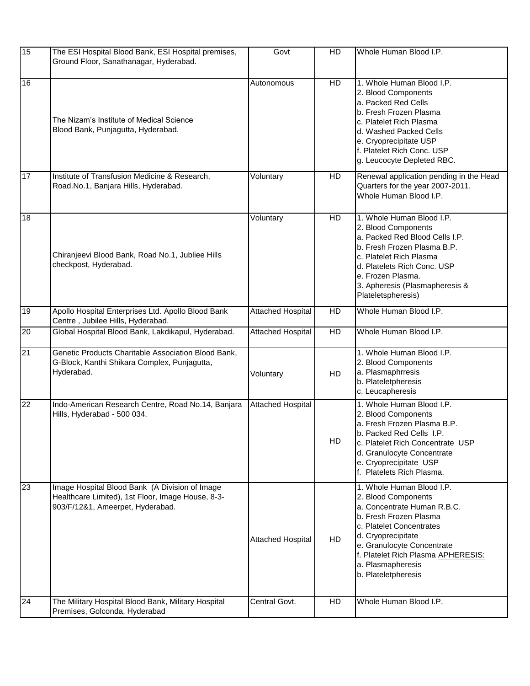| 15              | The ESI Hospital Blood Bank, ESI Hospital premises,<br>Ground Floor, Sanathanagar, Hyderabad.                                           | Govt                     | HD        | Whole Human Blood I.P.                                                                                                                                                                                                                                                      |
|-----------------|-----------------------------------------------------------------------------------------------------------------------------------------|--------------------------|-----------|-----------------------------------------------------------------------------------------------------------------------------------------------------------------------------------------------------------------------------------------------------------------------------|
| 16              | The Nizam's Institute of Medical Science<br>Blood Bank, Punjagutta, Hyderabad.                                                          | Autonomous               | HD        | 1. Whole Human Blood I.P.<br>2. Blood Components<br>a. Packed Red Cells<br>b. Fresh Frozen Plasma<br>c. Platelet Rich Plasma<br>d. Washed Packed Cells<br>e. Cryoprecipitate USP<br>f. Platelet Rich Conc. USP<br>g. Leucocyte Depleted RBC.                                |
| 17              | Institute of Transfusion Medicine & Research,<br>Road.No.1, Banjara Hills, Hyderabad.                                                   | Voluntary                | HD        | Renewal application pending in the Head<br>Quarters for the year 2007-2011.<br>Whole Human Blood I.P.                                                                                                                                                                       |
| 18              | Chiranjeevi Blood Bank, Road No.1, Jubliee Hills<br>checkpost, Hyderabad.                                                               | Voluntary                | HD        | 1. Whole Human Blood I.P.<br>2. Blood Components<br>a. Packed Red Blood Cells I.P.<br>b. Fresh Frozen Plasma B.P.<br>c. Platelet Rich Plasma<br>d. Platelets Rich Conc. USP<br>e. Frozen Plasma.<br>3. Apheresis (Plasmapheresis &<br>Plateletspheresis)                    |
| $\overline{19}$ | Apollo Hospital Enterprises Ltd. Apollo Blood Bank<br>Centre, Jubilee Hills, Hyderabad.                                                 | <b>Attached Hospital</b> | HD        | Whole Human Blood I.P.                                                                                                                                                                                                                                                      |
| $\overline{20}$ | Global Hospital Blood Bank, Lakdikapul, Hyderabad.                                                                                      | <b>Attached Hospital</b> | HD        | Whole Human Blood I.P.                                                                                                                                                                                                                                                      |
| 21              | Genetic Products Charitable Association Blood Bank,<br>G-Block, Kanthi Shikara Complex, Punjagutta,<br>Hyderabad.                       | Voluntary                | HD        | 1. Whole Human Blood I.P.<br>2. Blood Components<br>a. Plasmaphrresis<br>b. Plateletpheresis<br>c. Leucapheresis                                                                                                                                                            |
| $\overline{22}$ | Indo-American Research Centre, Road No.14, Banjara<br>Hills, Hyderabad - 500 034.                                                       | <b>Attached Hospital</b> | HD        | 1. Whole Human Blood I.P.<br>2. Blood Components<br>a. Fresh Frozen Plasma B.P.<br>b. Packed Red Cells I.P<br>c. Platelet Rich Concentrate USP<br>d. Granulocyte Concentrate<br>e. Cryoprecipitate USP<br>f. Platelets Rich Plasma.                                         |
| 23              | Image Hospital Blood Bank (A Division of Image<br>Healthcare Limited), 1st Floor, Image House, 8-3-<br>903/F/12&1, Ameerpet, Hyderabad. | <b>Attached Hospital</b> | <b>HD</b> | 1. Whole Human Blood I.P.<br>2. Blood Components<br>a. Concentrate Human R.B.C.<br>b. Fresh Frozen Plasma<br>c. Platelet Concentrates<br>d. Cryoprecipitate<br>e. Granulocyte Concentrate<br>f. Platelet Rich Plasma APHERESIS:<br>a. Plasmapheresis<br>b. Plateletpheresis |
| 24              | The Military Hospital Blood Bank, Military Hospital<br>Premises, Golconda, Hyderabad                                                    | Central Govt.            | HD        | Whole Human Blood I.P.                                                                                                                                                                                                                                                      |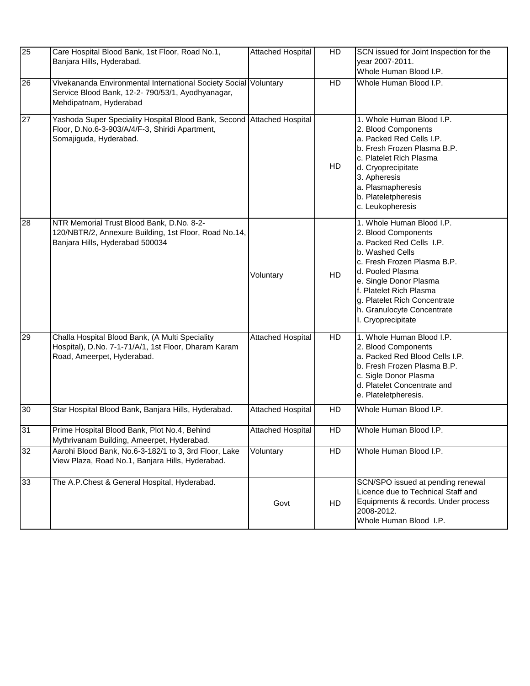| 25              | Care Hospital Blood Bank, 1st Floor, Road No.1,<br>Banjara Hills, Hyderabad.                                                                    | <b>Attached Hospital</b> | HD        | SCN issued for Joint Inspection for the<br>year 2007-2011.<br>Whole Human Blood I.P.                                                                                                                                                                                                        |
|-----------------|-------------------------------------------------------------------------------------------------------------------------------------------------|--------------------------|-----------|---------------------------------------------------------------------------------------------------------------------------------------------------------------------------------------------------------------------------------------------------------------------------------------------|
| 26              | Vivekananda Environmental International Society Social Voluntary<br>Service Blood Bank, 12-2- 790/53/1, Ayodhyanagar,<br>Mehdipatnam, Hyderabad |                          | HD        | Whole Human Blood I.P.                                                                                                                                                                                                                                                                      |
| $\overline{27}$ | Yashoda Super Speciality Hospital Blood Bank, Second<br>Floor, D.No.6-3-903/A/4/F-3, Shiridi Apartment,<br>Somajiguda, Hyderabad.               | <b>Attached Hospital</b> | HD        | 1. Whole Human Blood I.P.<br>2. Blood Components<br>a. Packed Red Cells I.P.<br>b. Fresh Frozen Plasma B.P.<br>c. Platelet Rich Plasma<br>d. Cryoprecipitate<br>3. Apheresis<br>a. Plasmapheresis<br>b. Plateletpheresis<br>c. Leukopheresis                                                |
| 28              | NTR Memorial Trust Blood Bank, D.No. 8-2-<br>120/NBTR/2, Annexure Building, 1st Floor, Road No.14,<br>Banjara Hills, Hyderabad 500034           | Voluntary                | HD        | 1. Whole Human Blood I.P.<br>2. Blood Components<br>a. Packed Red Cells I.P.<br>b. Washed Cells<br>c. Fresh Frozen Plasma B.P.<br>d. Pooled Plasma<br>e. Single Donor Plasma<br>f. Platelet Rich Plasma<br>g. Platelet Rich Concentrate<br>h. Granulocyte Concentrate<br>I. Cryoprecipitate |
| 29              | Challa Hospital Blood Bank, (A Multi Speciality<br>Hospital), D.No. 7-1-71/A/1, 1st Floor, Dharam Karam<br>Road, Ameerpet, Hyderabad.           | <b>Attached Hospital</b> | <b>HD</b> | 1. Whole Human Blood I.P.<br>2. Blood Components<br>a. Packed Red Blood Cells I.P.<br>b. Fresh Frozen Plasma B.P.<br>c. Sigle Donor Plasma<br>d. Platelet Concentrate and<br>e. Plateletpheresis.                                                                                           |
| 30              | Star Hospital Blood Bank, Banjara Hills, Hyderabad.                                                                                             | <b>Attached Hospital</b> | HD        | Whole Human Blood I.P.                                                                                                                                                                                                                                                                      |
| 31              | Prime Hospital Blood Bank, Plot No.4, Behind<br>Mythrivanam Building, Ameerpet, Hyderabad.                                                      | Attached Hospital        | HD        | Whole Human Blood I.P.                                                                                                                                                                                                                                                                      |
| 32              | Aarohi Blood Bank, No.6-3-182/1 to 3, 3rd Floor, Lake<br>View Plaza, Road No.1, Banjara Hills, Hyderabad.                                       | Voluntary                | HD        | Whole Human Blood I.P.                                                                                                                                                                                                                                                                      |
| 33              | The A.P.Chest & General Hospital, Hyderabad.                                                                                                    | Govt                     | HD        | SCN/SPO issued at pending renewal<br>Licence due to Technical Staff and<br>Equipments & records. Under process<br>2008-2012.<br>Whole Human Blood I.P.                                                                                                                                      |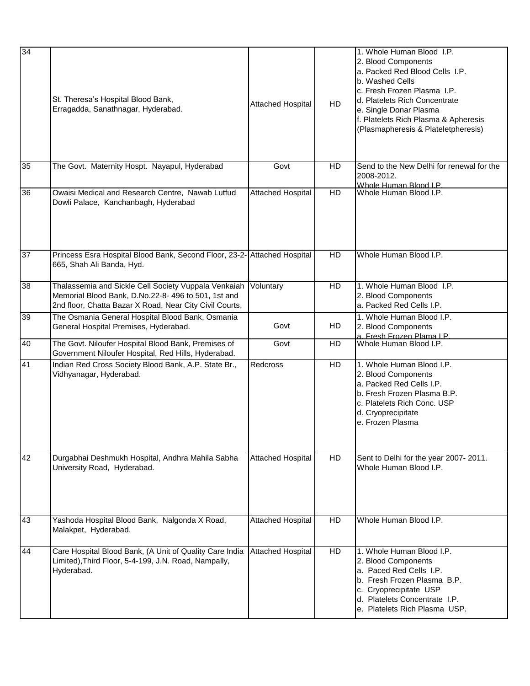| 34 | St. Theresa's Hospital Blood Bank,<br>Erragadda, Sanathnagar, Hyderabad.                                                                                              | <b>Attached Hospital</b> | <b>HD</b> | 1. Whole Human Blood I.P.<br>2. Blood Components<br>a. Packed Red Blood Cells I.P.<br>b. Washed Cells<br>c. Fresh Frozen Plasma I.P.<br>d. Platelets Rich Concentrate<br>e. Single Donar Plasma<br>f. Platelets Rich Plasma & Apheresis<br>(Plasmapheresis & Plateletpheresis) |
|----|-----------------------------------------------------------------------------------------------------------------------------------------------------------------------|--------------------------|-----------|--------------------------------------------------------------------------------------------------------------------------------------------------------------------------------------------------------------------------------------------------------------------------------|
| 35 | The Govt. Maternity Hospt. Nayapul, Hyderabad                                                                                                                         | Govt                     | HD        | Send to the New Delhi for renewal for the<br>2008-2012.<br>Whole Human Blood LP.                                                                                                                                                                                               |
| 36 | Owaisi Medical and Research Centre, Nawab Lutfud<br>Dowli Palace, Kanchanbagh, Hyderabad                                                                              | Attached Hospital        | <b>HD</b> | Whole Human Blood I.P.                                                                                                                                                                                                                                                         |
| 37 | Princess Esra Hospital Blood Bank, Second Floor, 23-2- Attached Hospital<br>665, Shah Ali Banda, Hyd.                                                                 |                          | <b>HD</b> | Whole Human Blood I.P.                                                                                                                                                                                                                                                         |
| 38 | Thalassemia and Sickle Cell Society Vuppala Venkaiah<br>Memorial Blood Bank, D.No.22-8-496 to 501, 1st and<br>2nd floor, Chatta Bazar X Road, Near City Civil Courts, | Voluntary                | <b>HD</b> | 1. Whole Human Blood I.P.<br>2. Blood Components<br>a. Packed Red Cells I.P.                                                                                                                                                                                                   |
| 39 | The Osmania General Hospital Blood Bank, Osmania<br>General Hospital Premises, Hyderabad.                                                                             | Govt                     | HD        | 1. Whole Human Blood I.P.<br>2. Blood Components<br>a, Fresh Frozen Plama I.P.                                                                                                                                                                                                 |
| 40 | The Govt. Niloufer Hospital Blood Bank, Premises of<br>Government Niloufer Hospital, Red Hills, Hyderabad.                                                            | Govt                     | <b>HD</b> | Whole Human Blood I.P.                                                                                                                                                                                                                                                         |
| 41 | Indian Red Cross Society Blood Bank, A.P. State Br.,<br>Vidhyanagar, Hyderabad.                                                                                       | Redcross                 | <b>HD</b> | 1. Whole Human Blood I.P.<br>2. Blood Components<br>a. Packed Red Cells I.P.<br>b. Fresh Frozen Plasma B.P.<br>c. Platelets Rich Conc. USP<br>d. Cryoprecipitate<br>e. Frozen Plasma                                                                                           |
| 42 | Durgabhai Deshmukh Hospital, Andhra Mahila Sabha<br>University Road, Hyderabad.                                                                                       | <b>Attached Hospital</b> | <b>HD</b> | Sent to Delhi for the year 2007-2011.<br>Whole Human Blood I.P.                                                                                                                                                                                                                |
| 43 | Yashoda Hospital Blood Bank, Nalgonda X Road,<br>Malakpet, Hyderabad.                                                                                                 | <b>Attached Hospital</b> | <b>HD</b> | Whole Human Blood I.P.                                                                                                                                                                                                                                                         |
| 44 | Care Hospital Blood Bank, (A Unit of Quality Care India<br>Limited), Third Floor, 5-4-199, J.N. Road, Nampally,<br>Hyderabad.                                         | <b>Attached Hospital</b> | <b>HD</b> | 1. Whole Human Blood I.P.<br>2. Blood Components<br>a. Paced Red Cells I.P.<br>b. Fresh Frozen Plasma B.P.<br>c. Cryoprecipitate USP<br>d. Platelets Concentrate I.P.<br>e. Platelets Rich Plasma USP.                                                                         |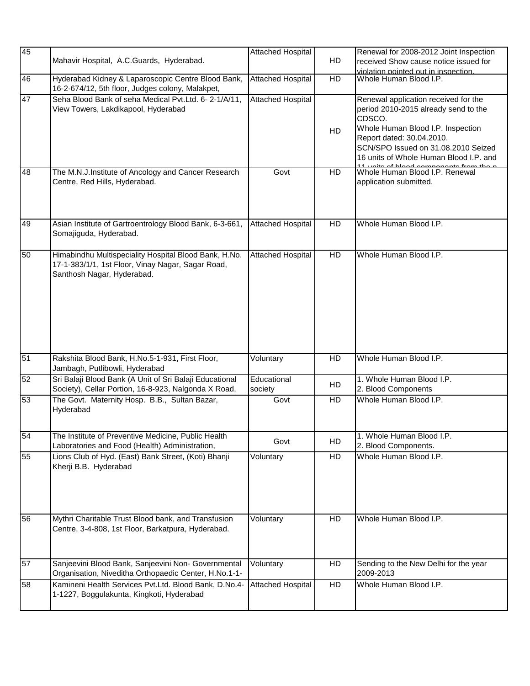| 45 | Mahavir Hospital, A.C.Guards, Hyderabad.                                                                                                 | <b>Attached Hospital</b> | HD        | Renewal for 2008-2012 Joint Inspection<br>received Show cause notice issued for<br>violation pointed out in inspection.                                                                                                                   |
|----|------------------------------------------------------------------------------------------------------------------------------------------|--------------------------|-----------|-------------------------------------------------------------------------------------------------------------------------------------------------------------------------------------------------------------------------------------------|
| 46 | Hyderabad Kidney & Laparoscopic Centre Blood Bank,<br>16-2-674/12, 5th floor, Judges colony, Malakpet,                                   | <b>Attached Hospital</b> | HD        | Whole Human Blood I.P.                                                                                                                                                                                                                    |
| 47 | Seha Blood Bank of seha Medical Pvt.Ltd. 6-2-1/A/11,<br>View Towers, Lakdikapool, Hyderabad                                              | <b>Attached Hospital</b> | HD        | Renewal application received for the<br>period 2010-2015 already send to the<br>CDSCO.<br>Whole Human Blood I.P. Inspection<br>Report dated: 30.04.2010.<br>SCN/SPO Issued on 31.08.2010 Seized<br>16 units of Whole Human Blood I.P. and |
| 48 | The M.N.J.Institute of Ancology and Cancer Research<br>Centre, Red Hills, Hyderabad.                                                     | Govt                     | HD        | Whole Human Blood I.P. Renewal<br>application submitted.                                                                                                                                                                                  |
| 49 | Asian Institute of Gartroentrology Blood Bank, 6-3-661,<br>Somajiguda, Hyderabad.                                                        | <b>Attached Hospital</b> | HD        | Whole Human Blood I.P.                                                                                                                                                                                                                    |
| 50 | Himabindhu Multispeciality Hospital Blood Bank, H.No.<br>17-1-383/1/1, 1st Floor, Vinay Nagar, Sagar Road,<br>Santhosh Nagar, Hyderabad. | <b>Attached Hospital</b> | HD        | Whole Human Blood I.P.                                                                                                                                                                                                                    |
| 51 | Rakshita Blood Bank, H.No.5-1-931, First Floor,<br>Jambagh, Putlibowli, Hyderabad                                                        | Voluntary                | HD        | Whole Human Blood I.P.                                                                                                                                                                                                                    |
| 52 | Sri Balaji Blood Bank (A Unit of Sri Balaji Educational<br>Society), Cellar Portion, 16-8-923, Nalgonda X Road,                          | Educational<br>society   | <b>HD</b> | 1. Whole Human Blood I.P.<br>2. Blood Components                                                                                                                                                                                          |
| 53 | The Govt. Maternity Hosp. B.B., Sultan Bazar,<br>Hyderabad                                                                               | Govt                     | HD        | Whole Human Blood I.P.                                                                                                                                                                                                                    |
| 54 | The Institute of Preventive Medicine, Public Health<br>Laboratories and Food (Health) Administration,                                    | Govt                     | HD        | 1. Whole Human Blood I.P.<br>2. Blood Components.                                                                                                                                                                                         |
| 55 | Lions Club of Hyd. (East) Bank Street, (Koti) Bhanji<br>Kherji B.B. Hyderabad                                                            | Voluntary                | HD        | Whole Human Blood I.P.                                                                                                                                                                                                                    |
| 56 | Mythri Charitable Trust Blood bank, and Transfusion<br>Centre, 3-4-808, 1st Floor, Barkatpura, Hyderabad.                                | Voluntary                | <b>HD</b> | Whole Human Blood I.P.                                                                                                                                                                                                                    |
| 57 | Sanjeevini Blood Bank, Sanjeevini Non- Governmental<br>Organisation, Niveditha Orthopaedic Center, H.No.1-1-                             | Voluntary                | HD        | Sending to the New Delhi for the year<br>2009-2013                                                                                                                                                                                        |
| 58 | Kamineni Health Services Pvt.Ltd. Blood Bank, D.No.4-<br>1-1227, Boggulakunta, Kingkoti, Hyderabad                                       | <b>Attached Hospital</b> | HD        | Whole Human Blood I.P.                                                                                                                                                                                                                    |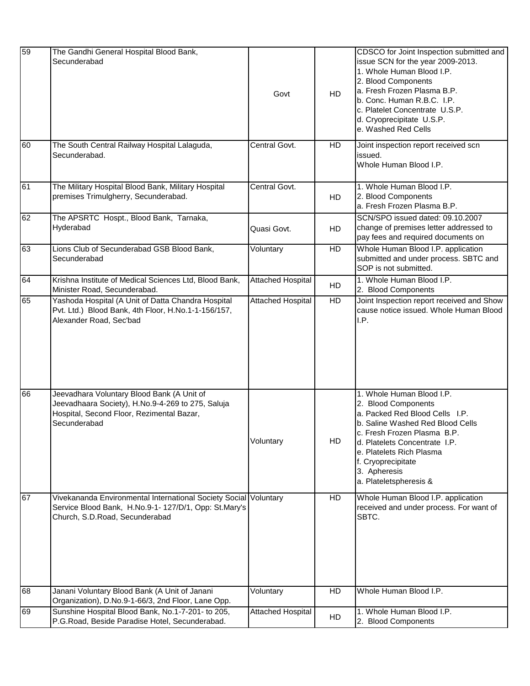| 59 | The Gandhi General Hospital Blood Bank,<br>Secunderabad                                                                                                      | Govt                     | <b>HD</b> | CDSCO for Joint Inspection submitted and<br>issue SCN for the year 2009-2013.<br>1. Whole Human Blood I.P.<br>2. Blood Components<br>a. Fresh Frozen Plasma B.P.<br>b. Conc. Human R.B.C. I.P.<br>c. Platelet Concentrate U.S.P.<br>d. Cryoprecipitate U.S.P.<br>e. Washed Red Cells |
|----|--------------------------------------------------------------------------------------------------------------------------------------------------------------|--------------------------|-----------|--------------------------------------------------------------------------------------------------------------------------------------------------------------------------------------------------------------------------------------------------------------------------------------|
| 60 | The South Central Railway Hospital Lalaguda,<br>Secunderabad.                                                                                                | Central Govt.            | HD        | Joint inspection report received scn<br>issued.<br>Whole Human Blood I.P.                                                                                                                                                                                                            |
| 61 | The Military Hospital Blood Bank, Military Hospital<br>premises Trimulgherry, Secunderabad.                                                                  | Central Govt.            | <b>HD</b> | 1. Whole Human Blood I.P.<br>2. Blood Components<br>a. Fresh Frozen Plasma B.P.                                                                                                                                                                                                      |
| 62 | The APSRTC Hospt., Blood Bank, Tarnaka,<br>Hyderabad                                                                                                         | Quasi Govt.              | HD        | SCN/SPO issued dated: 09.10.2007<br>change of premises letter addressed to<br>pay fees and required documents on                                                                                                                                                                     |
| 63 | Lions Club of Secunderabad GSB Blood Bank,<br>Secunderabad                                                                                                   | Voluntary                | HD        | Whole Human Blood I.P. application<br>submitted and under process. SBTC and<br>SOP is not submitted.                                                                                                                                                                                 |
| 64 | Krishna Institute of Medical Sciences Ltd, Blood Bank,<br>Minister Road, Secunderabad.                                                                       | Attached Hospital        | HD        | 1. Whole Human Blood I.P.<br>2. Blood Components                                                                                                                                                                                                                                     |
| 65 | Yashoda Hospital (A Unit of Datta Chandra Hospital<br>Pvt. Ltd.) Blood Bank, 4th Floor, H.No.1-1-156/157,<br>Alexander Road, Sec'bad                         | <b>Attached Hospital</b> | HD        | Joint Inspection report received and Show<br>cause notice issued. Whole Human Blood<br>I.P.                                                                                                                                                                                          |
| 66 | Jeevadhara Voluntary Blood Bank (A Unit of<br>Jeevadhaara Society), H.No.9-4-269 to 275, Saluja<br>Hospital, Second Floor, Rezimental Bazar,<br>Secunderabad | Voluntary                | HD        | 1. Whole Human Blood I.P.<br>2. Blood Components<br>a. Packed Red Blood Cells I.P.<br>b. Saline Washed Red Blood Cells<br>c. Fresh Frozen Plasma B.P.<br>d. Platelets Concentrate I.P.<br>e. Platelets Rich Plasma<br>f. Cryoprecipitate<br>3. Apheresis<br>a. Plateletspheresis &   |
| 67 | Vivekananda Environmental International Society Social<br>Service Blood Bank, H.No.9-1- 127/D/1, Opp: St.Mary's<br>Church, S.D.Road, Secunderabad            | Voluntary                | <b>HD</b> | Whole Human Blood I.P. application<br>received and under process. For want of<br>SBTC.                                                                                                                                                                                               |
| 68 | Janani Voluntary Blood Bank (A Unit of Janani<br>Organization), D.No.9-1-66/3, 2nd Floor, Lane Opp.                                                          | Voluntary                | <b>HD</b> | Whole Human Blood I.P.                                                                                                                                                                                                                                                               |
| 69 | Sunshine Hospital Blood Bank, No.1-7-201- to 205,<br>P.G.Road, Beside Paradise Hotel, Secunderabad.                                                          | Attached Hospital        | HD        | 1. Whole Human Blood I.P.<br>2. Blood Components                                                                                                                                                                                                                                     |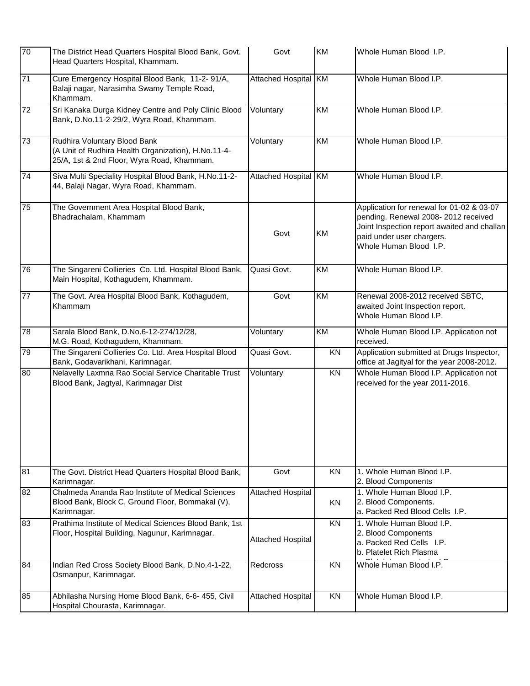| 70              | The District Head Quarters Hospital Blood Bank, Govt.<br>Head Quarters Hospital, Khammam.                                         | Govt                        | KM              | Whole Human Blood I.P.                                                                                                                                                                 |
|-----------------|-----------------------------------------------------------------------------------------------------------------------------------|-----------------------------|-----------------|----------------------------------------------------------------------------------------------------------------------------------------------------------------------------------------|
| $\overline{71}$ | Cure Emergency Hospital Blood Bank, 11-2-91/A,<br>Balaji nagar, Narasimha Swamy Temple Road,<br>Khammam.                          | <b>Attached Hospital KM</b> |                 | Whole Human Blood I.P.                                                                                                                                                                 |
| $\overline{72}$ | Sri Kanaka Durga Kidney Centre and Poly Clinic Blood<br>Bank, D.No.11-2-29/2, Wyra Road, Khammam.                                 | Voluntary                   | KM              | Whole Human Blood I.P.                                                                                                                                                                 |
| 73              | Rudhira Voluntary Blood Bank<br>(A Unit of Rudhira Health Organization), H.No.11-4-<br>25/A, 1st & 2nd Floor, Wyra Road, Khammam. | Voluntary                   | KM              | Whole Human Blood I.P.                                                                                                                                                                 |
| 74              | Siva Multi Speciality Hospital Blood Bank, H.No.11-2-<br>44, Balaji Nagar, Wyra Road, Khammam.                                    | Attached Hospital KM        |                 | Whole Human Blood I.P.                                                                                                                                                                 |
| 75              | The Government Area Hospital Blood Bank,<br>Bhadrachalam, Khammam                                                                 | Govt                        | KM              | Application for renewal for 01-02 & 03-07<br>pending. Renewal 2008-2012 received<br>Joint Inspection report awaited and challan<br>paid under user chargers.<br>Whole Human Blood I.P. |
| 76              | The Singareni Collieries Co. Ltd. Hospital Blood Bank,<br>Main Hospital, Kothagudem, Khammam.                                     | Quasi Govt.                 | $\overline{KM}$ | Whole Human Blood I.P.                                                                                                                                                                 |
| $\overline{77}$ | The Govt. Area Hospital Blood Bank, Kothagudem,<br>Khammam                                                                        | Govt                        | KM              | Renewal 2008-2012 received SBTC,<br>awaited Joint Inspection report.<br>Whole Human Blood I.P.                                                                                         |
| $\overline{78}$ | Sarala Blood Bank, D.No.6-12-274/12/28,<br>M.G. Road, Kothagudem, Khammam.                                                        | Voluntary                   | $\overline{KM}$ | Whole Human Blood I.P. Application not<br>received.                                                                                                                                    |
| 79              | The Singareni Collieries Co. Ltd. Area Hospital Blood<br>Bank, Godavarikhani, Karimnagar.                                         | Quasi Govt.                 | KN              | Application submitted at Drugs Inspector,<br>office at Jagityal for the year 2008-2012.                                                                                                |
| 80              | Nelavelly Laxmna Rao Social Service Charitable Trust<br>Blood Bank, Jagtyal, Karimnagar Dist                                      | Voluntary                   | KN              | Whole Human Blood I.P. Application not<br>received for the year 2011-2016.                                                                                                             |
| 81              | The Govt. District Head Quarters Hospital Blood Bank,<br>Karimnagar.                                                              | Govt                        | <b>KN</b>       | 1. Whole Human Blood I.P.<br>2. Blood Components                                                                                                                                       |
| 82              | Chalmeda Ananda Rao Institute of Medical Sciences<br>Blood Bank, Block C, Ground Floor, Bommakal (V),<br>Karimnagar.              | <b>Attached Hospital</b>    | KN              | 1. Whole Human Blood I.P.<br>2. Blood Components.<br>a. Packed Red Blood Cells I.P.                                                                                                    |
| 83              | Prathima Institute of Medical Sciences Blood Bank, 1st<br>Floor, Hospital Building, Nagunur, Karimnagar.                          | <b>Attached Hospital</b>    | <b>KN</b>       | 1. Whole Human Blood I.P.<br>2. Blood Components<br>a. Packed Red Cells I.P.<br>b. Platelet Rich Plasma                                                                                |
| 84              | Indian Red Cross Society Blood Bank, D.No.4-1-22,<br>Osmanpur, Karimnagar.                                                        | Redcross                    | KN              | Whole Human Blood I.P.                                                                                                                                                                 |
| 85              | Abhilasha Nursing Home Blood Bank, 6-6- 455, Civil<br>Hospital Chourasta, Karimnagar.                                             | <b>Attached Hospital</b>    | KN              | Whole Human Blood I.P.                                                                                                                                                                 |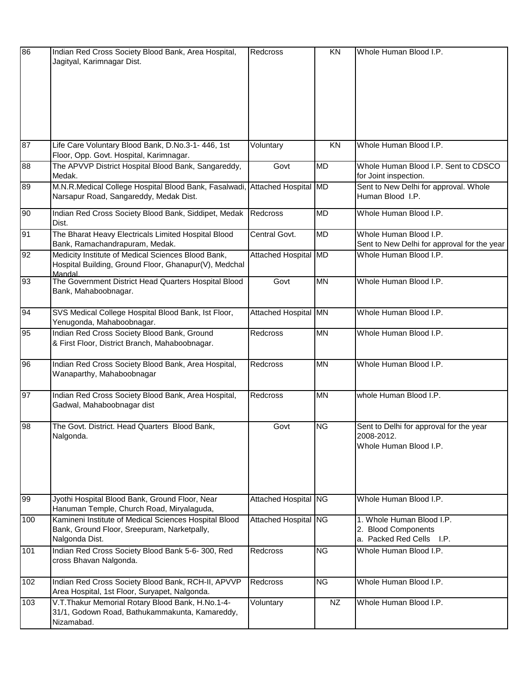| 86  | Indian Red Cross Society Blood Bank, Area Hospital,<br>Jagityal, Karimnagar Dist.                                      | Redcross             | KN        | Whole Human Blood I.P.                                                          |
|-----|------------------------------------------------------------------------------------------------------------------------|----------------------|-----------|---------------------------------------------------------------------------------|
|     |                                                                                                                        |                      |           |                                                                                 |
| 87  | Life Care Voluntary Blood Bank, D.No.3-1- 446, 1st<br>Floor, Opp. Govt. Hospital, Karimnagar.                          | Voluntary            | KN        | Whole Human Blood I.P.                                                          |
| 88  | The APVVP District Hospital Blood Bank, Sangareddy,<br>Medak.                                                          | Govt                 | <b>MD</b> | Whole Human Blood I.P. Sent to CDSCO<br>for Joint inspection.                   |
| 89  | M.N.R.Medical College Hospital Blood Bank, Fasalwadi,<br>Narsapur Road, Sangareddy, Medak Dist.                        | Attached Hospital MD |           | Sent to New Delhi for approval. Whole<br>Human Blood I.P.                       |
| 90  | Indian Red Cross Society Blood Bank, Siddipet, Medak<br>Dist.                                                          | Redcross             | <b>MD</b> | Whole Human Blood I.P.                                                          |
| 91  | The Bharat Heavy Electricals Limited Hospital Blood<br>Bank, Ramachandrapuram, Medak.                                  | Central Govt.        | <b>MD</b> | Whole Human Blood I.P.<br>Sent to New Delhi for approval for the year           |
| 92  | Medicity Institute of Medical Sciences Blood Bank,<br>Hospital Building, Ground Floor, Ghanapur(V), Medchal<br>Mandal  | Attached Hospital MD |           | Whole Human Blood I.P.                                                          |
| 93  | The Government District Head Quarters Hospital Blood<br>Bank, Mahaboobnagar.                                           | Govt                 | <b>MN</b> | Whole Human Blood I.P.                                                          |
| 94  | SVS Medical College Hospital Blood Bank, Ist Floor,<br>Yenugonda, Mahaboobnagar.                                       | Attached Hospital MN |           | Whole Human Blood I.P.                                                          |
| 95  | Indian Red Cross Society Blood Bank, Ground<br>& First Floor, District Branch, Mahaboobnagar.                          | Redcross             | <b>MN</b> | Whole Human Blood I.P.                                                          |
| 96  | Indian Red Cross Society Blood Bank, Area Hospital,<br>Wanaparthy, Mahaboobnagar                                       | <b>Redcross</b>      | <b>MN</b> | Whole Human Blood I.P.                                                          |
| 97  | Indian Red Cross Society Blood Bank, Area Hospital,<br>Gadwal, Mahaboobnagar dist                                      | Redcross             | <b>MN</b> | whole Human Blood I.P.                                                          |
| 98  | The Govt. District. Head Quarters Blood Bank,<br>Nalgonda.                                                             | Govt                 | <b>NG</b> | Sent to Delhi for approval for the year<br>2008-2012.<br>Whole Human Blood I.P. |
| 99  | Jyothi Hospital Blood Bank, Ground Floor, Near<br>Hanuman Temple, Church Road, Miryalaguda,                            | Attached Hospital NG |           | Whole Human Blood I.P.                                                          |
| 100 | Kamineni Institute of Medical Sciences Hospital Blood<br>Bank, Ground Floor, Sreepuram, Narketpally,<br>Nalgonda Dist. | Attached Hospital NG |           | 1. Whole Human Blood I.P.<br>2. Blood Components<br>a. Packed Red Cells I.P.    |
| 101 | Indian Red Cross Society Blood Bank 5-6-300, Red<br>cross Bhavan Nalgonda.                                             | <b>Redcross</b>      | <b>NG</b> | Whole Human Blood I.P.                                                          |
| 102 | Indian Red Cross Society Blood Bank, RCH-II, APVVP<br>Area Hospital, 1st Floor, Suryapet, Nalgonda.                    | Redcross             | <b>NG</b> | Whole Human Blood I.P.                                                          |
| 103 | V.T.Thakur Memorial Rotary Blood Bank, H.No.1-4-<br>31/1, Godown Road, Bathukammakunta, Kamareddy,<br>Nizamabad.       | Voluntary            | <b>NZ</b> | Whole Human Blood I.P.                                                          |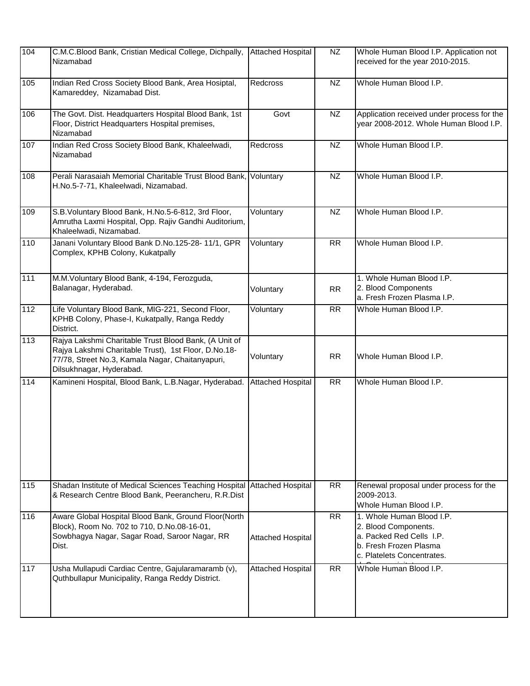| 104 | C.M.C.Blood Bank, Cristian Medical College, Dichpally,<br>Nizamabad                                                                                                                           | <b>Attached Hospital</b> | NZ        | Whole Human Blood I.P. Application not<br>received for the year 2010-2015.                                                            |
|-----|-----------------------------------------------------------------------------------------------------------------------------------------------------------------------------------------------|--------------------------|-----------|---------------------------------------------------------------------------------------------------------------------------------------|
| 105 | Indian Red Cross Society Blood Bank, Area Hosiptal,<br>Kamareddey, Nizamabad Dist.                                                                                                            | Redcross                 | NZ        | Whole Human Blood I.P.                                                                                                                |
| 106 | The Govt. Dist. Headquarters Hospital Blood Bank, 1st<br>Floor, District Headquarters Hospital premises,<br>Nizamabad                                                                         | Govt                     | <b>NZ</b> | Application received under process for the<br>year 2008-2012. Whole Human Blood I.P.                                                  |
| 107 | Indian Red Cross Society Blood Bank, Khaleelwadi,<br>Nizamabad                                                                                                                                | Redcross                 | NZ        | Whole Human Blood I.P.                                                                                                                |
| 108 | Perali Narasaiah Memorial Charitable Trust Blood Bank,<br>H.No.5-7-71, Khaleelwadi, Nizamabad.                                                                                                | Voluntary                | NZ        | Whole Human Blood I.P.                                                                                                                |
| 109 | S.B. Voluntary Blood Bank, H.No.5-6-812, 3rd Floor,<br>Amrutha Laxmi Hospital, Opp. Rajiv Gandhi Auditorium,<br>Khaleelwadi, Nizamabad.                                                       | Voluntary                | NZ        | Whole Human Blood I.P.                                                                                                                |
| 110 | Janani Voluntary Blood Bank D.No.125-28-11/1, GPR<br>Complex, KPHB Colony, Kukatpally                                                                                                         | Voluntary                | <b>RR</b> | Whole Human Blood I.P.                                                                                                                |
| 111 | M.M.Voluntary Blood Bank, 4-194, Ferozguda,<br>Balanagar, Hyderabad.                                                                                                                          | Voluntary                | RR        | 1. Whole Human Blood I.P.<br>2. Blood Components<br>a. Fresh Frozen Plasma I.P.                                                       |
| 112 | Life Voluntary Blood Bank, MIG-221, Second Floor,<br>KPHB Colony, Phase-I, Kukatpally, Ranga Reddy<br>District.                                                                               | Voluntary                | RR        | Whole Human Blood I.P.                                                                                                                |
| 113 | Rajya Lakshmi Charitable Trust Blood Bank, (A Unit of<br>Rajya Lakshmi Charitable Trust), 1st Floor, D.No.18-<br>77/78, Street No.3, Kamala Nagar, Chaitanyapuri,<br>Dilsukhnagar, Hyderabad. | Voluntary                | RR        | Whole Human Blood I.P.                                                                                                                |
| 114 | Kamineni Hospital, Blood Bank, L.B.Nagar, Hyderabad.                                                                                                                                          | <b>Attached Hospital</b> | <b>RR</b> | Whole Human Blood I.P.                                                                                                                |
| 115 | Shadan Institute of Medical Sciences Teaching Hospital<br>& Research Centre Blood Bank, Peerancheru, R.R.Dist                                                                                 | <b>Attached Hospital</b> | <b>RR</b> | Renewal proposal under process for the<br>2009-2013.<br>Whole Human Blood I.P.                                                        |
| 116 | Aware Global Hospital Blood Bank, Ground Floor(North<br>Block), Room No. 702 to 710, D.No.08-16-01,<br>Sowbhagya Nagar, Sagar Road, Saroor Nagar, RR<br>Dist.                                 | <b>Attached Hospital</b> | <b>RR</b> | 1. Whole Human Blood I.P.<br>2. Blood Components.<br>a. Packed Red Cells I.P.<br>b. Fresh Frozen Plasma<br>c. Platelets Concentrates. |
| 117 | Usha Mullapudi Cardiac Centre, Gajularamaramb (v),<br>Quthbullapur Municipality, Ranga Reddy District.                                                                                        | <b>Attached Hospital</b> | <b>RR</b> | Whole Human Blood I.P.                                                                                                                |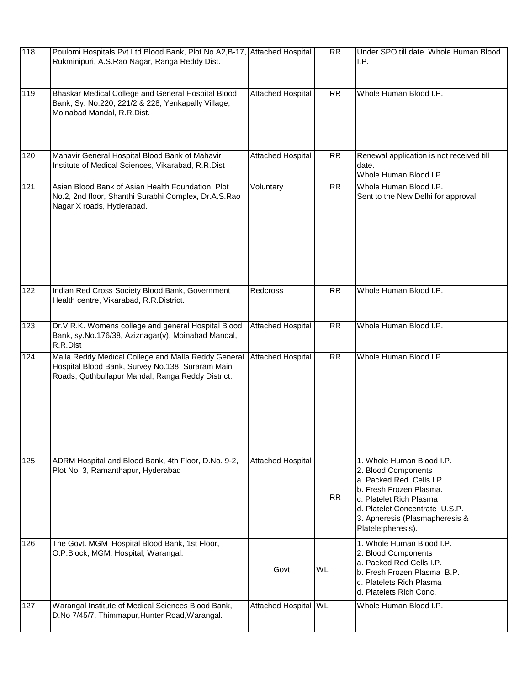| 118 | Poulomi Hospitals Pvt.Ltd Blood Bank, Plot No.A2, B-17, Attached Hospital<br>Rukminipuri, A.S.Rao Nagar, Ranga Reddy Dist.                                   |                          | <b>RR</b>       | Under SPO till date. Whole Human Blood<br>I.P.                                                                                                                                                                               |
|-----|--------------------------------------------------------------------------------------------------------------------------------------------------------------|--------------------------|-----------------|------------------------------------------------------------------------------------------------------------------------------------------------------------------------------------------------------------------------------|
| 119 | Bhaskar Medical College and General Hospital Blood<br>Bank, Sy. No.220, 221/2 & 228, Yenkapally Village,<br>Moinabad Mandal, R.R.Dist.                       | Attached Hospital        | $\overline{RR}$ | Whole Human Blood I.P.                                                                                                                                                                                                       |
| 120 | Mahavir General Hospital Blood Bank of Mahavir<br>Institute of Medical Sciences, Vikarabad, R.R.Dist                                                         | <b>Attached Hospital</b> | <b>RR</b>       | Renewal application is not received till<br>date.<br>Whole Human Blood I.P.                                                                                                                                                  |
| 121 | Asian Blood Bank of Asian Health Foundation, Plot<br>No.2, 2nd floor, Shanthi Surabhi Complex, Dr.A.S.Rao<br>Nagar X roads, Hyderabad.                       | Voluntary                | $\overline{RR}$ | Whole Human Blood I.P.<br>Sent to the New Delhi for approval                                                                                                                                                                 |
| 122 | Indian Red Cross Society Blood Bank, Government<br>Health centre, Vikarabad, R.R.District.                                                                   | Redcross                 | <b>RR</b>       | Whole Human Blood I.P.                                                                                                                                                                                                       |
| 123 | Dr.V.R.K. Womens college and general Hospital Blood<br>Bank, sy.No.176/38, Aziznagar(v), Moinabad Mandal,<br>R.R.Dist                                        | <b>Attached Hospital</b> | <b>RR</b>       | Whole Human Blood I.P.                                                                                                                                                                                                       |
| 124 | Malla Reddy Medical College and Malla Reddy General<br>Hospital Blood Bank, Survey No.138, Suraram Main<br>Roads, Quthbullapur Mandal, Ranga Reddy District. | <b>Attached Hospital</b> | <b>RR</b>       | Whole Human Blood I.P.                                                                                                                                                                                                       |
| 125 | ADRM Hospital and Blood Bank, 4th Floor, D.No. 9-2,<br>Plot No. 3, Ramanthapur, Hyderabad                                                                    | <b>Attached Hospital</b> | <b>RR</b>       | 1. Whole Human Blood I.P.<br>2. Blood Components<br>a. Packed Red Cells I.P.<br>b. Fresh Frozen Plasma.<br>c. Platelet Rich Plasma<br>d. Platelet Concentrate U.S.P.<br>3. Apheresis (Plasmapheresis &<br>Plateletpheresis). |
| 126 | The Govt. MGM Hospital Blood Bank, 1st Floor,<br>O.P.Block, MGM. Hospital, Warangal.                                                                         | Govt                     | <b>WL</b>       | 1. Whole Human Blood I.P.<br>2. Blood Components<br>a. Packed Red Cells I.P.<br>b. Fresh Frozen Plasma B.P.<br>c. Platelets Rich Plasma<br>d. Platelets Rich Conc.                                                           |
| 127 | Warangal Institute of Medical Sciences Blood Bank,<br>D.No 7/45/7, Thimmapur, Hunter Road, Warangal.                                                         | Attached Hospital WL     |                 | Whole Human Blood I.P.                                                                                                                                                                                                       |